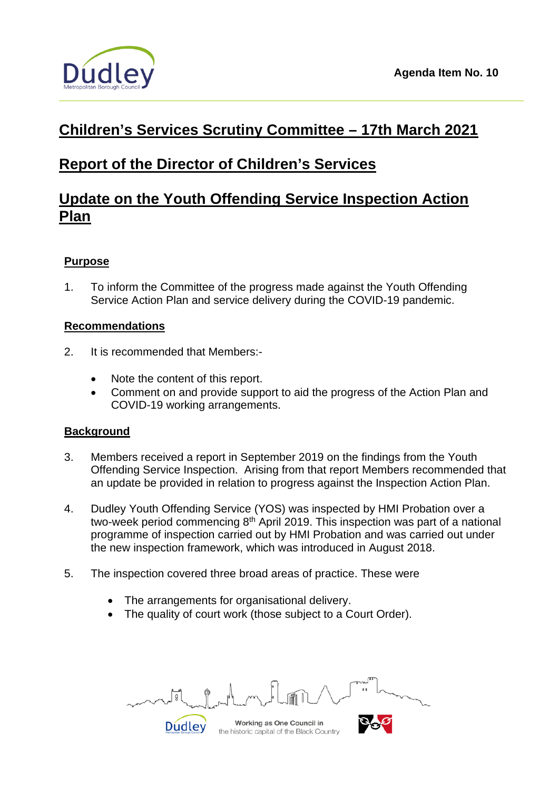

# **Children's Services Scrutiny Committee – 17th March 2021**

# **Report of the Director of Children's Services**

# **Update on the Youth Offending Service Inspection Action Plan**

## **Purpose**

1. To inform the Committee of the progress made against the Youth Offending Service Action Plan and service delivery during the COVID-19 pandemic.

## **Recommendations**

- 2. It is recommended that Members:-
	- Note the content of this report.
	- Comment on and provide support to aid the progress of the Action Plan and COVID-19 working arrangements.

## **Background**

- 3. Members received a report in September 2019 on the findings from the Youth Offending Service Inspection. Arising from that report Members recommended that an update be provided in relation to progress against the Inspection Action Plan.
- 4. Dudley Youth Offending Service (YOS) was inspected by HMI Probation over a two-week period commencing 8<sup>th</sup> April 2019. This inspection was part of a national programme of inspection carried out by HMI Probation and was carried out under the new inspection framework, which was introduced in August 2018.
- 5. The inspection covered three broad areas of practice. These were
	- The arrangements for organisational delivery.
	- The quality of court work (those subject to a Court Order).

**Dudley** 

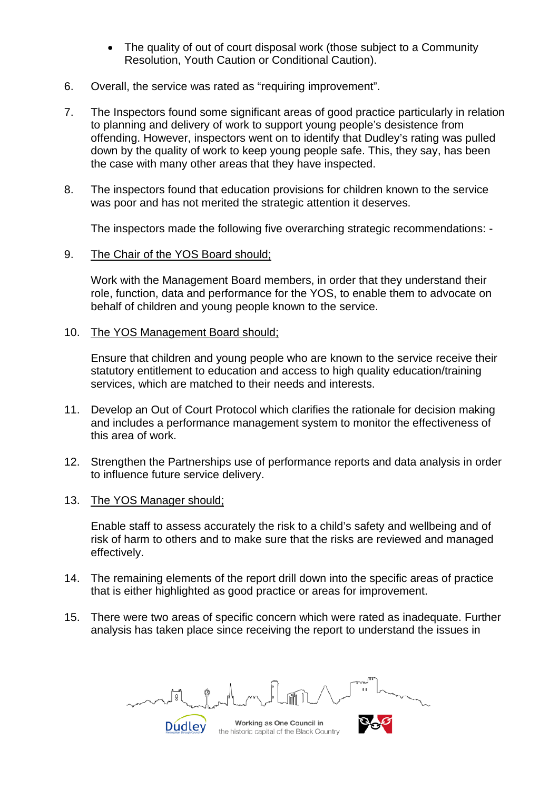- The quality of out of court disposal work (those subject to a Community Resolution, Youth Caution or Conditional Caution).
- 6. Overall, the service was rated as "requiring improvement".
- 7. The Inspectors found some significant areas of good practice particularly in relation to planning and delivery of work to support young people's desistence from offending. However, inspectors went on to identify that Dudley's rating was pulled down by the quality of work to keep young people safe. This, they say, has been the case with many other areas that they have inspected.
- 8. The inspectors found that education provisions for children known to the service was poor and has not merited the strategic attention it deserves.

The inspectors made the following five overarching strategic recommendations: -

9. The Chair of the YOS Board should;

> Work with the Management Board members, in order that they understand their role, function, data and performance for the YOS, to enable them to advocate on behalf of children and young people known to the service.

10. The YOS Management Board should;

Ensure that children and young people who are known to the service receive their statutory entitlement to education and access to high quality education/training services, which are matched to their needs and interests.

- 11. Develop an Out of Court Protocol which clarifies the rationale for decision making and includes a performance management system to monitor the effectiveness of this area of work.
- 12. Strengthen the Partnerships use of performance reports and data analysis in order to influence future service delivery.
- 13. The YOS Manager should;

Enable staff to assess accurately the risk to a child's safety and wellbeing and of risk of harm to others and to make sure that the risks are reviewed and managed effectively.

- 14. The remaining elements of the report drill down into the specific areas of practice that is either highlighted as good practice or areas for improvement.
- 15. There were two areas of specific concern which were rated as inadequate. Further analysis has taken place since receiving the report to understand the issues in

**Dudley** 

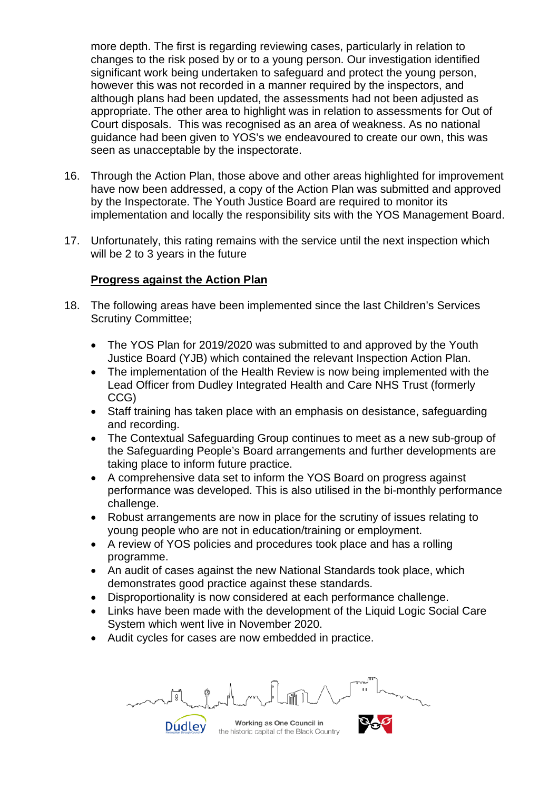more depth. The first is regarding reviewing cases, particularly in relation to changes to the risk posed by or to a young person. Our investigation identified significant work being undertaken to safeguard and protect the young person, however this was not recorded in a manner required by the inspectors, and although plans had been updated, the assessments had not been adjusted as appropriate. The other area to highlight was in relation to assessments for Out of Court disposals. This was recognised as an area of weakness. As no national guidance had been given to YOS's we endeavoured to create our own, this was seen as unacceptable by the inspectorate.

- 16. Through the Action Plan, those above and other areas highlighted for improvement have now been addressed, a copy of the Action Plan was submitted and approved by the Inspectorate. The Youth Justice Board are required to monitor its implementation and locally the responsibility sits with the YOS Management Board.
- 17. Unfortunately, this rating remains with the service until the next inspection which will be 2 to 3 years in the future

## **Progress against the Action Plan**

- 18. The following areas have been implemented since the last Children's Services Scrutiny Committee;
	- The YOS Plan for 2019/2020 was submitted to and approved by the Youth Justice Board (YJB) which contained the relevant Inspection Action Plan.
	- The implementation of the Health Review is now being implemented with the Lead Officer from Dudley Integrated Health and Care NHS Trust (formerly CCG)
	- Staff training has taken place with an emphasis on desistance, safeguarding and recording.
	- The Contextual Safeguarding Group continues to meet as a new sub-group of the Safeguarding People's Board arrangements and further developments are taking place to inform future practice.
	- A comprehensive data set to inform the YOS Board on progress against performance was developed. This is also utilised in the bi-monthly performance challenge.
	- Robust arrangements are now in place for the scrutiny of issues relating to young people who are not in education/training or employment.
	- A review of YOS policies and procedures took place and has a rolling programme.
	- An audit of cases against the new National Standards took place, which demonstrates good practice against these standards.
	- Disproportionality is now considered at each performance challenge.
	- Links have been made with the development of the Liquid Logic Social Care System which went live in November 2020.
	- Audit cycles for cases are now embedded in practice.

**Dudley** 

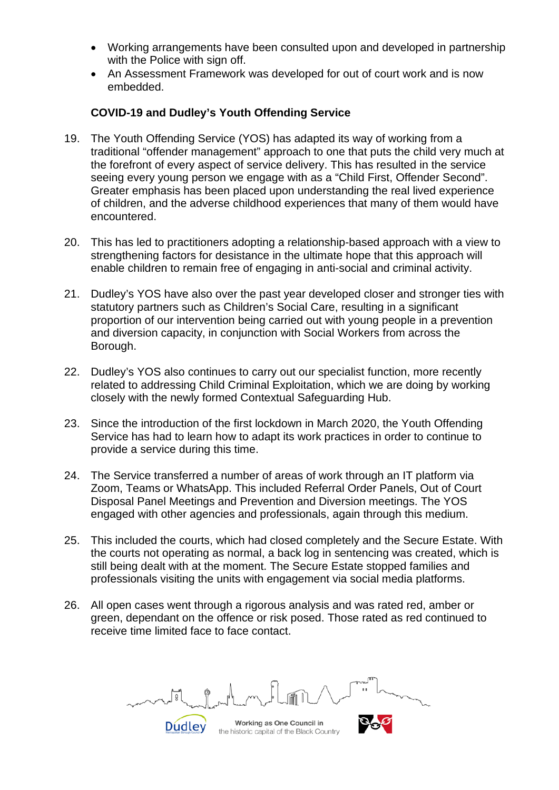- Working arrangements have been consulted upon and developed in partnership with the Police with sign off.
- An Assessment Framework was developed for out of court work and is now embedded.

## **COVID-19 and Dudley's Youth Offending Service**

- 19. The Youth Offending Service (YOS) has adapted its way of working from a traditional "offender management" approach to one that puts the child very much at the forefront of every aspect of service delivery. This has resulted in the service seeing every young person we engage with as a "Child First, Offender Second". Greater emphasis has been placed upon understanding the real lived experience of children, and the adverse childhood experiences that many of them would have encountered.
- 20. This has led to practitioners adopting a relationship-based approach with a view to strengthening factors for desistance in the ultimate hope that this approach will enable children to remain free of engaging in anti-social and criminal activity.
- 21. Dudley's YOS have also over the past year developed closer and stronger ties with statutory partners such as Children's Social Care, resulting in a significant proportion of our intervention being carried out with young people in a prevention and diversion capacity, in conjunction with Social Workers from across the Borough.
- 22. Dudley's YOS also continues to carry out our specialist function, more recently related to addressing Child Criminal Exploitation, which we are doing by working closely with the newly formed Contextual Safeguarding Hub.
- 23. Since the introduction of the first lockdown in March 2020, the Youth Offending Service has had to learn how to adapt its work practices in order to continue to provide a service during this time.
- 24. The Service transferred a number of areas of work through an IT platform via Zoom, Teams or WhatsApp. This included Referral Order Panels, Out of Court Disposal Panel Meetings and Prevention and Diversion meetings. The YOS engaged with other agencies and professionals, again through this medium.
- 25. This included the courts, which had closed completely and the Secure Estate. With the courts not operating as normal, a back log in sentencing was created, which is still being dealt with at the moment. The Secure Estate stopped families and professionals visiting the units with engagement via social media platforms.
- 26. All open cases went through a rigorous analysis and was rated red, amber or green, dependant on the offence or risk posed. Those rated as red continued to receive time limited face to face contact.

**Dudley** 

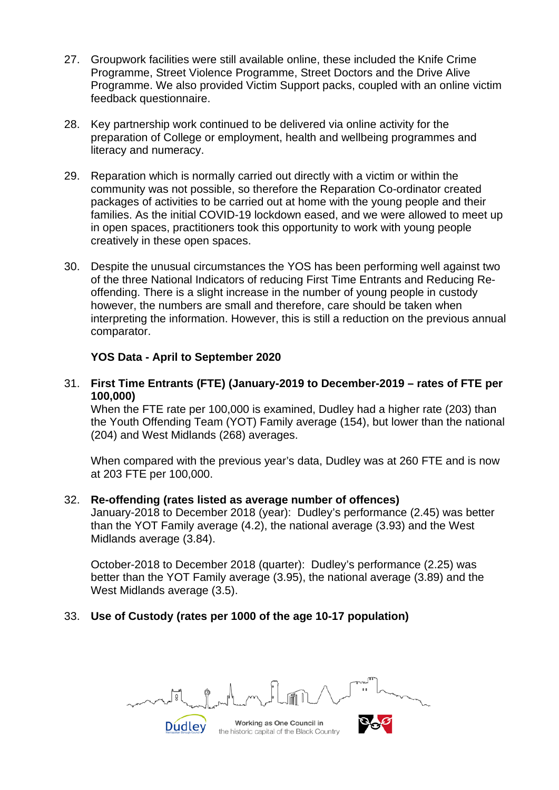- 27. Groupwork facilities were still available online, these included the Knife Crime Programme, Street Violence Programme, Street Doctors and the Drive Alive Programme. We also provided Victim Support packs, coupled with an online victim feedback questionnaire.
- 28. Key partnership work continued to be delivered via online activity for the preparation of College or employment, health and wellbeing programmes and literacy and numeracy.
- 29. Reparation which is normally carried out directly with a victim or within the community was not possible, so therefore the Reparation Co-ordinator created packages of activities to be carried out at home with the young people and their families. As the initial COVID-19 lockdown eased, and we were allowed to meet up in open spaces, practitioners took this opportunity to work with young people creatively in these open spaces.
- 30. Despite the unusual circumstances the YOS has been performing well against two of the three National Indicators of reducing First Time Entrants and Reducing Reoffending. There is a slight increase in the number of young people in custody however, the numbers are small and therefore, care should be taken when interpreting the information. However, this is still a reduction on the previous annual comparator.

#### **YOS Data - April to September 2020**

## 31. **First Time Entrants (FTE) (January-2019 to December-2019 – rates of FTE per 100,000)**

When the FTE rate per 100,000 is examined, Dudley had a higher rate (203) than the Youth Offending Team (YOT) Family average (154), but lower than the national (204) and West Midlands (268) averages.

When compared with the previous year's data, Dudley was at 260 FTE and is now at 203 FTE per 100,000.

#### 32. **Re-offending (rates listed as average number of offences)**

January-2018 to December 2018 (year): Dudley's performance (2.45) was better than the YOT Family average (4.2), the national average (3.93) and the West Midlands average (3.84).

October-2018 to December 2018 (quarter): Dudley's performance (2.25) was better than the YOT Family average (3.95), the national average (3.89) and the West Midlands average (3.5).

#### 33. **Use of Custody (rates per 1000 of the age 10-17 population)**

**Dudley** 

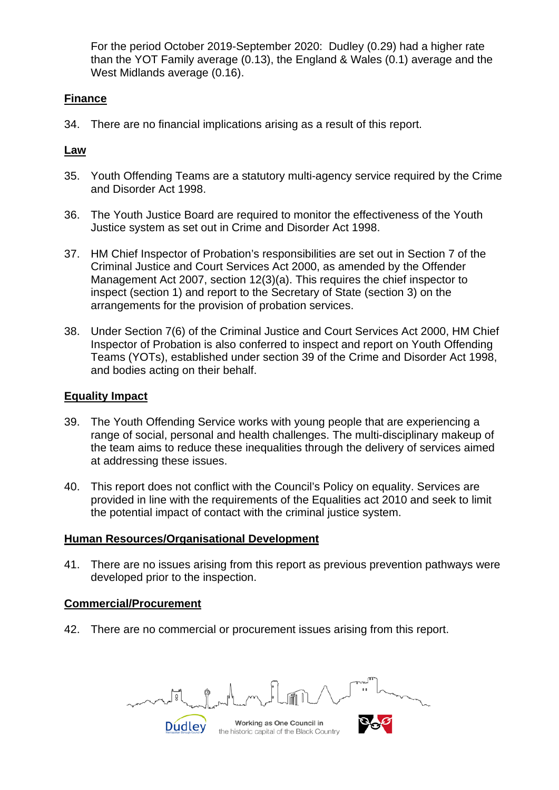For the period October 2019-September 2020: Dudley (0.29) had a higher rate than the YOT Family average (0.13), the England & Wales (0.1) average and the West Midlands average (0.16).

## **Finance**

34. There are no financial implications arising as a result of this report.

## **Law**

- 35. Youth Offending Teams are a statutory multi-agency service required by the Crime and Disorder Act 1998.
- 36. The Youth Justice Board are required to monitor the effectiveness of the Youth Justice system as set out in Crime and Disorder Act 1998.
- 37. HM Chief Inspector of Probation's responsibilities are set out in Section 7 of the Criminal Justice and Court Services Act 2000, as amended by the Offender Management Act 2007, section 12(3)(a). This requires the chief inspector to inspect (section 1) and report to the Secretary of State (section 3) on the arrangements for the provision of probation services.
- 38. Under Section 7(6) of the Criminal Justice and Court Services Act 2000, HM Chief Inspector of Probation is also conferred to inspect and report on Youth Offending Teams (YOTs), established under section 39 of the Crime and Disorder Act 1998, and bodies acting on their behalf.

## **Equality Impact**

- 39. The Youth Offending Service works with young people that are experiencing a range of social, personal and health challenges. The multi-disciplinary makeup of the team aims to reduce these inequalities through the delivery of services aimed at addressing these issues.
- 40. This report does not conflict with the Council's Policy on equality. Services are provided in line with the requirements of the Equalities act 2010 and seek to limit the potential impact of contact with the criminal justice system.

#### **Human Resources/Organisational Development**

41. There are no issues arising from this report as previous prevention pathways were developed prior to the inspection.

#### **Commercial/Procurement**

42. There are no commercial or procurement issues arising from this report.

**Dudley**